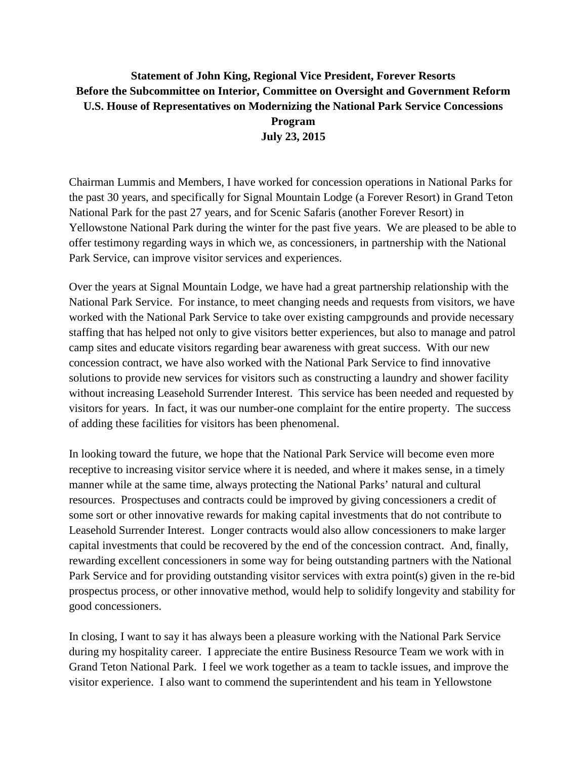## **Statement of John King, Regional Vice President, Forever Resorts Before the Subcommittee on Interior, Committee on Oversight and Government Reform U.S. House of Representatives on Modernizing the National Park Service Concessions Program July 23, 2015**

Chairman Lummis and Members, I have worked for concession operations in National Parks for the past 30 years, and specifically for Signal Mountain Lodge (a Forever Resort) in Grand Teton National Park for the past 27 years, and for Scenic Safaris (another Forever Resort) in Yellowstone National Park during the winter for the past five years. We are pleased to be able to offer testimony regarding ways in which we, as concessioners, in partnership with the National Park Service, can improve visitor services and experiences.

Over the years at Signal Mountain Lodge, we have had a great partnership relationship with the National Park Service. For instance, to meet changing needs and requests from visitors, we have worked with the National Park Service to take over existing campgrounds and provide necessary staffing that has helped not only to give visitors better experiences, but also to manage and patrol camp sites and educate visitors regarding bear awareness with great success. With our new concession contract, we have also worked with the National Park Service to find innovative solutions to provide new services for visitors such as constructing a laundry and shower facility without increasing Leasehold Surrender Interest. This service has been needed and requested by visitors for years. In fact, it was our number-one complaint for the entire property. The success of adding these facilities for visitors has been phenomenal.

In looking toward the future, we hope that the National Park Service will become even more receptive to increasing visitor service where it is needed, and where it makes sense, in a timely manner while at the same time, always protecting the National Parks' natural and cultural resources. Prospectuses and contracts could be improved by giving concessioners a credit of some sort or other innovative rewards for making capital investments that do not contribute to Leasehold Surrender Interest. Longer contracts would also allow concessioners to make larger capital investments that could be recovered by the end of the concession contract. And, finally, rewarding excellent concessioners in some way for being outstanding partners with the National Park Service and for providing outstanding visitor services with extra point(s) given in the re-bid prospectus process, or other innovative method, would help to solidify longevity and stability for good concessioners.

In closing, I want to say it has always been a pleasure working with the National Park Service during my hospitality career. I appreciate the entire Business Resource Team we work with in Grand Teton National Park. I feel we work together as a team to tackle issues, and improve the visitor experience. I also want to commend the superintendent and his team in Yellowstone